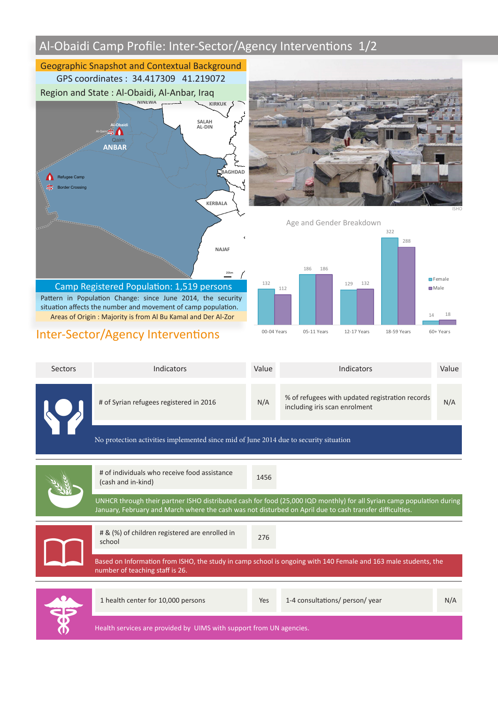# Al-Obaidi Camp Profile: Inter-Sector/Agency Interventions 1/2



00-04 Years 05-11 Years 12-17 Years 18-59 Years 60+ Years

### Inter-Sector/Agency Interventions

| Sectors | Indicators                                                                                                                                                                                                                        | Value | Indicators                                                                       | Value |  |
|---------|-----------------------------------------------------------------------------------------------------------------------------------------------------------------------------------------------------------------------------------|-------|----------------------------------------------------------------------------------|-------|--|
|         | # of Syrian refugees registered in 2016                                                                                                                                                                                           | N/A   | % of refugees with updated registration records<br>including iris scan enrolment | N/A   |  |
|         | No protection activities implemented since mid of June 2014 due to security situation                                                                                                                                             |       |                                                                                  |       |  |
|         | # of individuals who receive food assistance<br>(cash and in-kind)                                                                                                                                                                | 1456  |                                                                                  |       |  |
|         | UNHCR through their partner ISHO distributed cash for food (25,000 IQD monthly) for all Syrian camp population during<br>January, February and March where the cash was not disturbed on April due to cash transfer difficulties. |       |                                                                                  |       |  |
|         | # & (%) of children registered are enrolled in<br>school                                                                                                                                                                          | 276   |                                                                                  |       |  |
|         | Based on Information from ISHO, the study in camp school is ongoing with 140 Female and 163 male students, the<br>number of teaching staff is 26.                                                                                 |       |                                                                                  |       |  |
|         | 1 health center for 10,000 persons                                                                                                                                                                                                | Yes   | 1-4 consultations/ person/ year                                                  | N/A   |  |
|         | Health services are provided by UIMS with support from UN agencies.                                                                                                                                                               |       |                                                                                  |       |  |